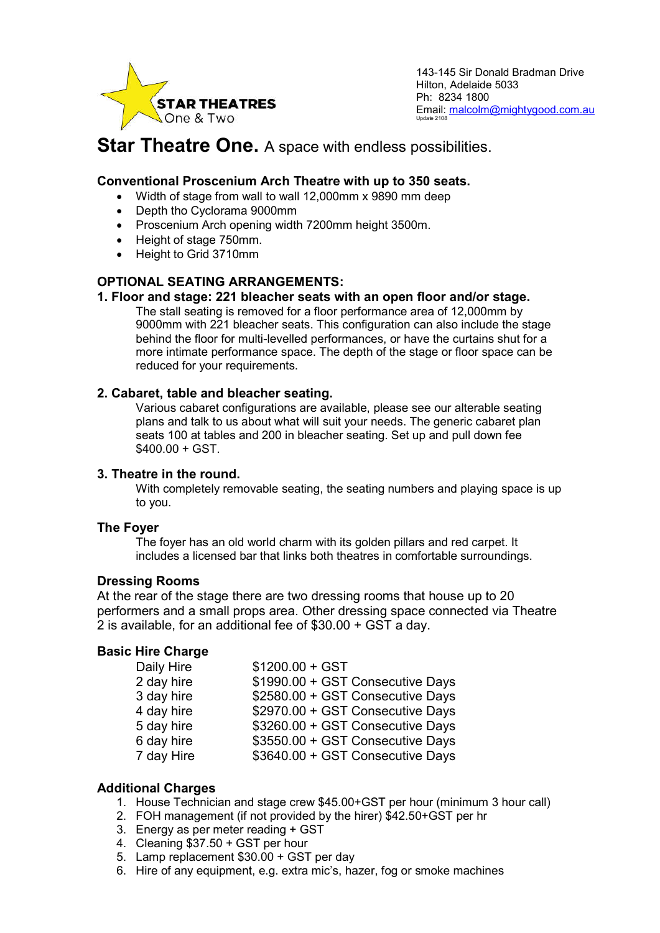

143-145 Sir Donald Bradman Drive Hilton, Adelaide 5033 Ph: 8234 1800 Email: malcolm@mightygood.com.au Update 2108

# **Star Theatre One.** A space with endless possibilities.

# **Conventional Proscenium Arch Theatre with up to 350 seats.**

- Width of stage from wall to wall 12,000mm x 9890 mm deep
- Depth tho Cyclorama 9000mm
- Proscenium Arch opening width 7200mm height 3500m.
- Height of stage 750mm.
- Height to Grid 3710mm

# **OPTIONAL SEATING ARRANGEMENTS:**

#### **1. Floor and stage: 221 bleacher seats with an open floor and/or stage.**

The stall seating is removed for a floor performance area of 12,000mm by 9000mm with 221 bleacher seats. This configuration can also include the stage behind the floor for multi-levelled performances, or have the curtains shut for a more intimate performance space. The depth of the stage or floor space can be reduced for your requirements.

### **2. Cabaret, table and bleacher seating.**

Various cabaret configurations are available, please see our alterable seating plans and talk to us about what will suit your needs. The generic cabaret plan seats 100 at tables and 200 in bleacher seating. Set up and pull down fee \$400.00 + GST.

#### **3. Theatre in the round.**

With completely removable seating, the seating numbers and playing space is up to you.

### **The Foyer**

The foyer has an old world charm with its golden pillars and red carpet. It includes a licensed bar that links both theatres in comfortable surroundings.

#### **Dressing Rooms**

At the rear of the stage there are two dressing rooms that house up to 20 performers and a small props area. Other dressing space connected via Theatre 2 is available, for an additional fee of \$30.00 + GST a day.

### **Basic Hire Charge**

| Daily Hire | $$1200.00 + GST$                 |
|------------|----------------------------------|
| 2 day hire | \$1990.00 + GST Consecutive Days |
| 3 day hire | \$2580.00 + GST Consecutive Days |
| 4 day hire | \$2970.00 + GST Consecutive Days |
| 5 day hire | \$3260.00 + GST Consecutive Days |
| 6 day hire | \$3550.00 + GST Consecutive Days |
| 7 day Hire | \$3640.00 + GST Consecutive Days |

### **Additional Charges**

- 1. House Technician and stage crew \$45.00+GST per hour (minimum 3 hour call)
- 2. FOH management (if not provided by the hirer) \$42.50+GST per hr
- 3. Energy as per meter reading + GST
- 4. Cleaning \$37.50 + GST per hour
- 5. Lamp replacement \$30.00 + GST per day
- 6. Hire of any equipment, e.g. extra mic's, hazer, fog or smoke machines